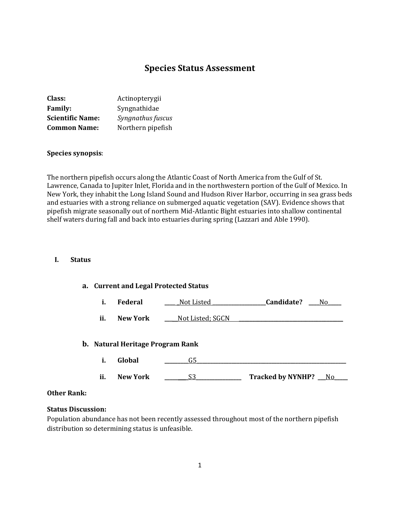# **Species Status Assessment**

| Class:                  | Actinopterygii    |
|-------------------------|-------------------|
| <b>Family:</b>          | Syngnathidae      |
| <b>Scientific Name:</b> | Syngnathus fuscus |
| <b>Common Name:</b>     | Northern pipefish |

#### **Species synopsis**:

The northern pipefish occurs along the Atlantic Coast of North America from the Gulf of St. Lawrence, Canada to Jupiter Inlet, Florida and in the northwestern portion of the Gulf of Mexico. In New York, they inhabit the Long Island Sound and Hudson River Harbor, occurring in sea grass beds and estuaries with a strong reliance on submerged aquatic vegetation (SAV). Evidence shows that pipefish migrate seasonally out of northern Mid-Atlantic Bight estuaries into shallow continental shelf waters during fall and back into estuaries during spring (Lazzari and Able 1990).

#### **I. Status**

#### **a. Current and Legal Protected Status**

| <br>Federal | Not Listed | Candidate? |  |
|-------------|------------|------------|--|
|             |            |            |  |

**ii.** New York \_\_\_\_\_\_Not Listed; SGCN

#### **b. Natural Heritage Program Rank**

|     | Global          |                          |  |
|-----|-----------------|--------------------------|--|
|     |                 |                          |  |
| ii. | <b>New York</b> | <b>Tracked by NYNHP?</b> |  |

#### **Other Rank:**

#### **Status Discussion:**

Population abundance has not been recently assessed throughout most of the northern pipefish distribution so determining status is unfeasible.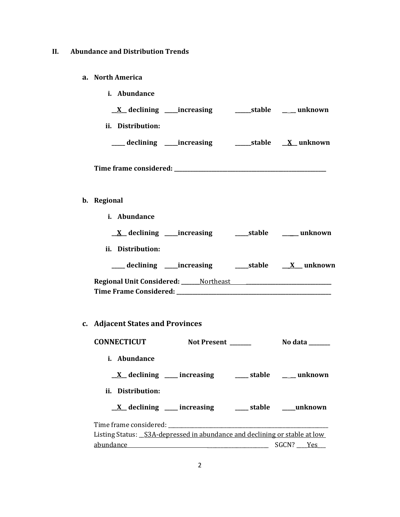# **II. Abundance and Distribution Trends**

## **a. North America**

**b. Regional** 

| <i>i.</i> Abundance                       |                               |  |
|-------------------------------------------|-------------------------------|--|
| $\underline{X}$ declining _____increasing | _______stable _______ unknown |  |
| ii. Distribution:                         |                               |  |
| ____ declining ____ increasing            |                               |  |
|                                           |                               |  |
| Regional                                  |                               |  |
| <i>i.</i> Abundance                       |                               |  |

| $X$ declining ______ increasing                   | stable | unknown          |
|---------------------------------------------------|--------|------------------|
| ii.<br>Distribution:                              |        |                  |
| ___ declining _____ increasing                    | stable | <b>X</b> unknown |
| <b>Regional Unit Considered:</b> ______ Northeast |        |                  |
| Time Frame Considered:                            |        |                  |

# **c. Adjacent States and Provinces**

| <b>CONNECTICUT</b>                                                         | <b>Not Present</b>                                                  | No data _______                                                     |
|----------------------------------------------------------------------------|---------------------------------------------------------------------|---------------------------------------------------------------------|
| i. Abundance                                                               |                                                                     |                                                                     |
|                                                                            |                                                                     | $\underline{X}$ declining ____ increasing _____ stable ____ unknown |
| ii. Distribution:                                                          |                                                                     |                                                                     |
|                                                                            | $\underline{X}$ declining ____ increasing _____ stable ____ unknown |                                                                     |
|                                                                            |                                                                     |                                                                     |
| Listing Status: _S3A-depressed in abundance and declining or stable at low |                                                                     |                                                                     |
| abundance                                                                  |                                                                     | SGCN? Yes                                                           |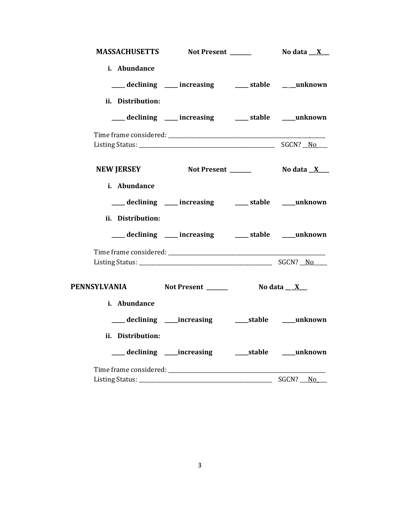|                                                  | MASSACHUSETTS Not Present ______                         | No data <u>X</u> |
|--------------------------------------------------|----------------------------------------------------------|------------------|
| i. Abundance                                     |                                                          |                  |
|                                                  | ___ declining ___ increasing ___ stable ___ unknown      |                  |
| ii. Distribution:                                |                                                          |                  |
|                                                  | ___ declining ___ increasing ____ stable ___unknown      |                  |
|                                                  |                                                          |                  |
|                                                  |                                                          |                  |
|                                                  | NEW JERSEY Not Present _______ No data X__               |                  |
| i. Abundance                                     |                                                          |                  |
|                                                  | ___ declining ___ increasing ___ stable ___ unknown      |                  |
| ii. Distribution:                                |                                                          |                  |
|                                                  | ___ declining ___ increasing ___ stable ___ unknown      |                  |
|                                                  |                                                          |                  |
|                                                  |                                                          |                  |
| PENNSYLVANIA Not Present _______ No data __ X __ |                                                          |                  |
| i. Abundance                                     |                                                          |                  |
|                                                  | ___ declining ____ increasing ______ stable ____ unknown |                  |
| ii. Distribution:                                |                                                          |                  |
|                                                  | ___ declining ____ increasing _____ stable ____ unknown  |                  |
|                                                  |                                                          |                  |
|                                                  |                                                          | SGCN? No         |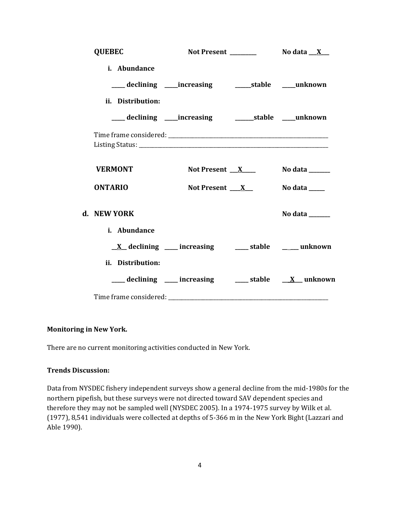| <b>QUEBEC</b>     |                                                                 | Not Present ________ | No data $X_{-}$ |
|-------------------|-----------------------------------------------------------------|----------------------|-----------------|
| i. Abundance      |                                                                 |                      |                 |
|                   |                                                                 |                      |                 |
| ii. Distribution: |                                                                 |                      |                 |
|                   |                                                                 |                      |                 |
|                   |                                                                 |                      |                 |
| <b>VERMONT</b>    | Not Present $X$                                                 |                      | No data $\_\_$  |
| <b>ONTARIO</b>    | Not Present $X$                                                 |                      | No data _____   |
| d. NEW YORK       |                                                                 |                      | No data         |
| i. Abundance      |                                                                 |                      |                 |
|                   | $\underline{X}$ declining ___ increasing ___ stable ___ unknown |                      |                 |
| ii. Distribution: |                                                                 |                      |                 |
|                   | declining ___ increasing ___ stable __ X_unknown                |                      |                 |
|                   |                                                                 |                      |                 |

## **Monitoring in New York.**

There are no current monitoring activities conducted in New York.

## **Trends Discussion:**

Data from NYSDEC fishery independent surveys show a general decline from the mid-1980s for the northern pipefish, but these surveys were not directed toward SAV dependent species and therefore they may not be sampled well (NYSDEC 2005). In a 1974-1975 survey by Wilk et al. (1977), 8,541 individuals were collected at depths of 5-366 m in the New York Bight (Lazzari and Able 1990).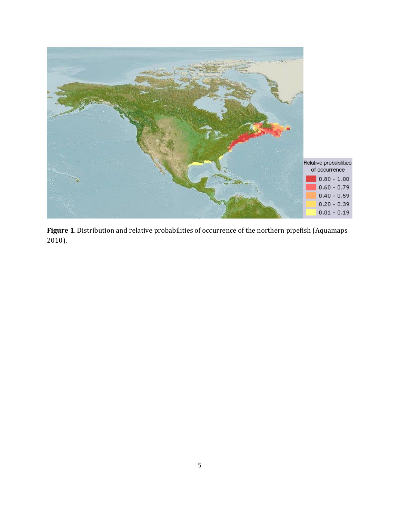

**Figure 1**. Distribution and relative probabilities of occurrence of the northern pipefish (Aquamaps 2010).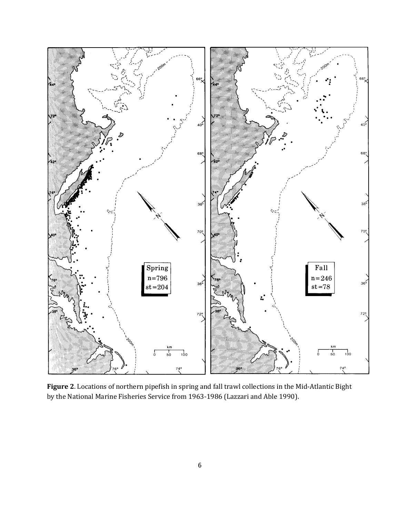

**Figure 2**. Locations of northern pipefish in spring and fall trawl collections in the Mid-Atlantic Bight by the National Marine Fisheries Service from 1963-1986 (Lazzari and Able 1990).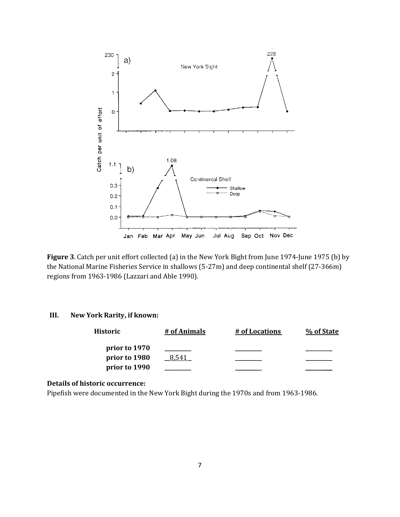

**Figure 3**. Catch per unit effort collected (a) in the New York Bight from June 1974-June 1975 (b) by the National Marine Fisheries Service in shallows (5-27m) and deep continental shelf (27-366m) regions from 1963-1986 (Lazzari and Able 1990).

## **III. New York Rarity, if known:**

| <b>Historic</b> | # of Animals | # of Locations | % of State |
|-----------------|--------------|----------------|------------|
| prior to 1970   |              |                |            |
| prior to 1980   | 8.541        |                |            |
| prior to 1990   |              |                |            |

## **Details of historic occurrence:**

Pipefish were documented in the New York Bight during the 1970s and from 1963-1986.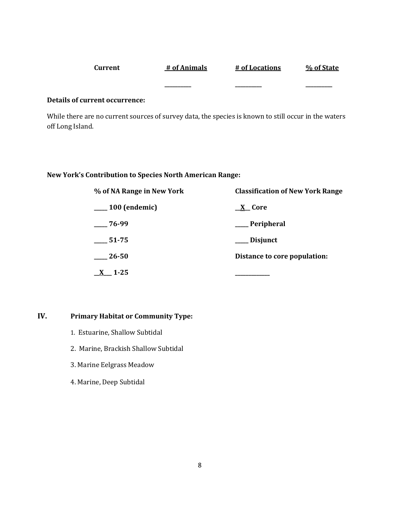| Current | # of Animals | # of Locations | % of State |
|---------|--------------|----------------|------------|
|         |              |                |            |
|         | _______      | _______        | _______    |

#### **Details of current occurrence:**

While there are no current sources of survey data, the species is known to still occur in the waters off Long Island.

## **New York's Contribution to Species North American Range:**

| % of NA Range in New York | <b>Classification of New York Range</b> |  |
|---------------------------|-----------------------------------------|--|
| $\frac{100}{2}$ (endemic) | <u>X</u> Core                           |  |
| $-76-99$                  | __ Peripheral                           |  |
| $-51-75$                  | ___ Disjunct                            |  |
| 26-50                     | Distance to core population:            |  |
| $1 - 25$                  |                                         |  |

# **IV. Primary Habitat or Community Type:**

- 1. Estuarine, Shallow Subtidal
- 2. Marine, Brackish Shallow Subtidal
- 3. Marine Eelgrass Meadow
- 4. Marine, Deep Subtidal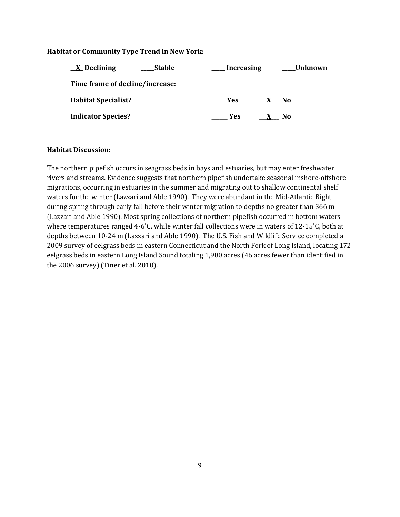## **Habitat or Community Type Trend in New York:**

| $\underline{X}$ Declining       | <b>Stable</b><br><b>Increasing</b> | Unknown             |
|---------------------------------|------------------------------------|---------------------|
| Time frame of decline/increase: |                                    |                     |
| <b>Habitat Specialist?</b>      | <b>Paragona</b>                    | No.<br>$\mathbf{X}$ |
| <b>Indicator Species?</b>       | <b>Yes</b>                         | No                  |

## **Habitat Discussion:**

The northern pipefish occurs in seagrass beds in bays and estuaries, but may enter freshwater rivers and streams. Evidence suggests that northern pipefish undertake seasonal inshore-offshore migrations, occurring in estuaries in the summer and migrating out to shallow continental shelf waters for the winter (Lazzari and Able 1990). They were abundant in the Mid-Atlantic Bight during spring through early fall before their winter migration to depths no greater than 366 m (Lazzari and Able 1990). Most spring collections of northern pipefish occurred in bottom waters where temperatures ranged 4-6˚C, while winter fall collections were in waters of 12-15˚C, both at depths between 10-24 m (Lazzari and Able 1990). The U.S. Fish and Wildlife Service completed a 2009 survey of eelgrass beds in eastern Connecticut and the North Fork of Long Island, locating 172 eelgrass beds in eastern Long Island Sound totaling 1,980 acres (46 acres fewer than identified in the 2006 survey) (Tiner et al. 2010).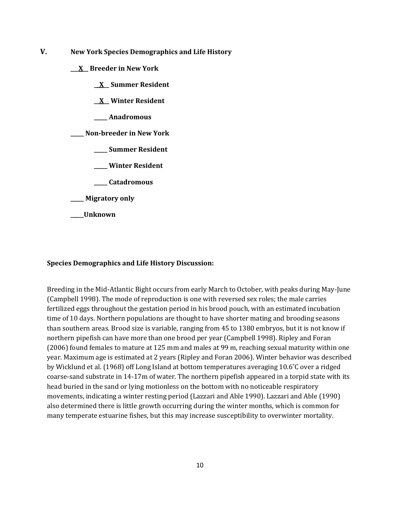- **V. New York Species Demographics and Life History**
	- **\_\_\_X\_\_ Breeder in New York**
		- **\_\_X\_\_ Summer Resident**
		- **\_\_X\_\_ Winter Resident**
		- **\_\_\_\_\_ Anadromous**

**\_\_\_\_\_ Non-breeder in New York**

- **\_\_\_\_\_ Summer Resident**
- **\_\_\_\_\_ Winter Resident**
- **\_\_\_\_\_ Catadromous**
- **\_\_\_\_\_ Migratory only**
- **\_\_\_\_\_Unknown**

#### **Species Demographics and Life History Discussion:**

Breeding in the Mid-Atlantic Bight occurs from early March to October, with peaks during May-June (Campbell 1998). The mode of reproduction is one with reversed sex roles; the male carries fertilized eggs throughout the gestation period in his brood pouch, with an estimated incubation time of 10 days. Northern populations are thought to have shorter mating and brooding seasons than southern areas. Brood size is variable, ranging from 45 to 1380 embryos, but it is not know if northern pipefish can have more than one brood per year (Campbell 1998). Ripley and Foran (2006) found females to mature at 125 mm and males at 99 m, reaching sexual maturity within one year. Maximum age is estimated at 2 years (Ripley and Foran 2006). Winter behavior was described by Wicklund et al. (1968) off Long Island at bottom temperatures averaging 10.6˚C over a ridged coarse-sand substrate in 14-17m of water. The northern pipefish appeared in a torpid state with its head buried in the sand or lying motionless on the bottom with no noticeable respiratory movements, indicating a winter resting period (Lazzari and Able 1990). Lazzari and Able (1990) also determined there is little growth occurring during the winter months, which is common for many temperate estuarine fishes, but this may increase susceptibility to overwinter mortality.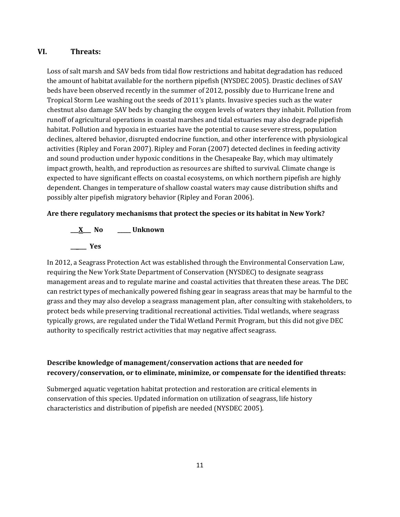# **VI. Threats:**

Loss of salt marsh and SAV beds from tidal flow restrictions and habitat degradation has reduced the amount of habitat available for the northern pipefish (NYSDEC 2005). Drastic declines of SAV beds have been observed recently in the summer of 2012, possibly due to Hurricane Irene and Tropical Storm Lee washing out the seeds of 2011's plants. Invasive species such as the water chestnut also damage SAV beds by changing the oxygen levels of waters they inhabit. Pollution from runoff of agricultural operations in coastal marshes and tidal estuaries may also degrade pipefish habitat. Pollution and hypoxia in estuaries have the potential to cause severe stress, population declines, altered behavior, disrupted endocrine function, and other interference with physiological activities (Ripley and Foran 2007). Ripley and Foran (2007) detected declines in feeding activity and sound production under hypoxic conditions in the Chesapeake Bay, which may ultimately impact growth, health, and reproduction as resources are shifted to survival. Climate change is expected to have significant effects on coastal ecosystems, on which northern pipefish are highly dependent. Changes in temperature of shallow coastal waters may cause distribution shifts and possibly alter pipefish migratory behavior (Ripley and Foran 2006).

## **Are there regulatory mechanisms that protect the species or its habitat in New York?**

**\_\_\_X\_\_\_ No \_\_\_\_\_ Unknown \_\_\_\_\_\_ Yes** 

In 2012, a Seagrass Protection Act was established through the Environmental Conservation Law, requiring the New York State Department of Conservation (NYSDEC) to designate seagrass management areas and to regulate marine and coastal activities that threaten these areas. The DEC can restrict types of mechanically powered fishing gear in seagrass areas that may be harmful to the grass and they may also develop a seagrass management plan, after consulting with stakeholders, to protect beds while preserving traditional recreational activities. Tidal wetlands, where seagrass typically grows, are regulated under the Tidal Wetland Permit Program, but this did not give DEC authority to specifically restrict activities that may negative affect seagrass.

# **Describe knowledge of management/conservation actions that are needed for recovery/conservation, or to eliminate, minimize, or compensate for the identified threats:**

Submerged aquatic vegetation habitat protection and restoration are critical elements in conservation of this species. Updated information on utilization of seagrass, life history characteristics and distribution of pipefish are needed (NYSDEC 2005).